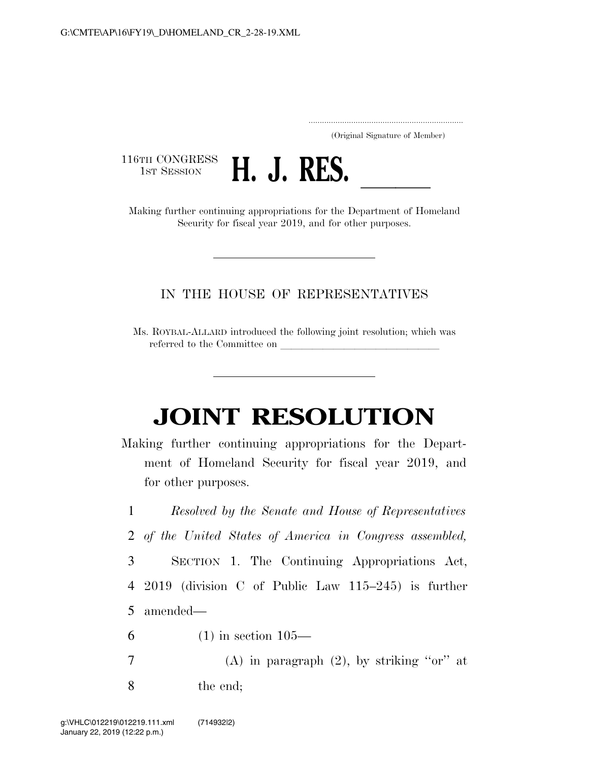..................................................................... (Original Signature of Member)

116TH CONGRESS<br>1st Session



1ST SESSION **H. J. RES.**<br>Making further continuing appropriations for the Department of Homeland Security for fiscal year 2019, and for other purposes.

## IN THE HOUSE OF REPRESENTATIVES

Ms. ROYBAL-ALLARD introduced the following joint resolution; which was referred to the Committee on

## **JOINT RESOLUTION**

Making further continuing appropriations for the Department of Homeland Security for fiscal year 2019, and for other purposes.

 *Resolved by the Senate and House of Representatives of the United States of America in Congress assembled,*  SECTION 1. The Continuing Appropriations Act, 2019 (division C of Public Law 115–245) is further amended— (1) in section 105—

7 (A) in paragraph  $(2)$ , by striking "or" at 8 the end;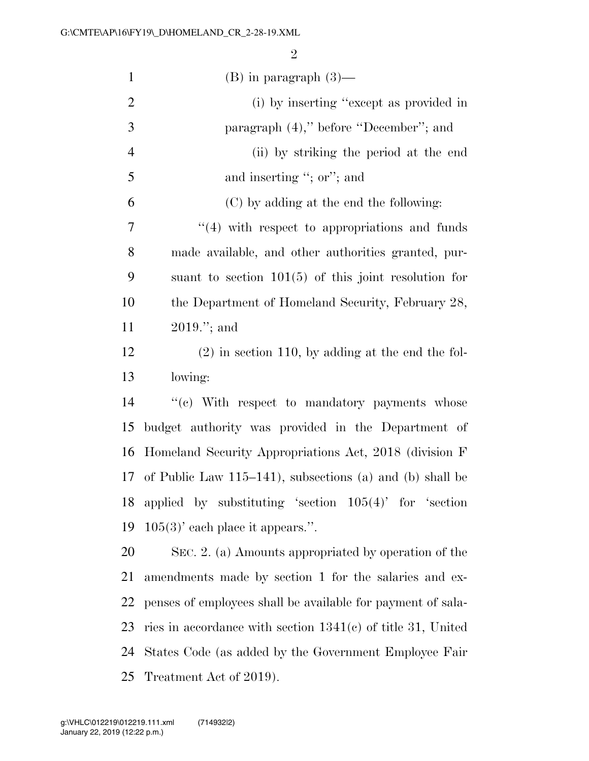| $\mathbf{1}$   | $(B)$ in paragraph $(3)$ —                                    |
|----------------|---------------------------------------------------------------|
| $\overline{2}$ | (i) by inserting "except as provided in                       |
| $\mathfrak{Z}$ | paragraph $(4)$ ," before "December"; and                     |
| $\overline{4}$ | (ii) by striking the period at the end                        |
| 5              | and inserting "; or"; and                                     |
| 6              | (C) by adding at the end the following:                       |
| 7              | $\lq(4)$ with respect to appropriations and funds             |
| 8              | made available, and other authorities granted, pur-           |
| 9              | suant to section $101(5)$ of this joint resolution for        |
| 10             | the Department of Homeland Security, February 28,             |
| 11             | $2019."$ ; and                                                |
| 12             | $(2)$ in section 110, by adding at the end the fol-           |
| 13             | lowing:                                                       |
| 14             | "(c) With respect to mandatory payments whose                 |
| 15             | budget authority was provided in the Department of            |
| 16             | Homeland Security Appropriations Act, 2018 (division F        |
| 17             | of Public Law $115-141$ , subsections (a) and (b) shall be    |
| 18             | applied by substituting 'section $105(4)$ ' for 'section      |
| 19             | $105(3)$ ' each place it appears.".                           |
| 20             | SEC. 2. (a) Amounts appropriated by operation of the          |
| 21             | amendments made by section 1 for the salaries and ex-         |
| 22             | penses of employees shall be available for payment of sala-   |
| 23             | ries in accordance with section $1341(c)$ of title 31, United |
| 24             | States Code (as added by the Government Employee Fair         |
| 25             | Treatment Act of 2019).                                       |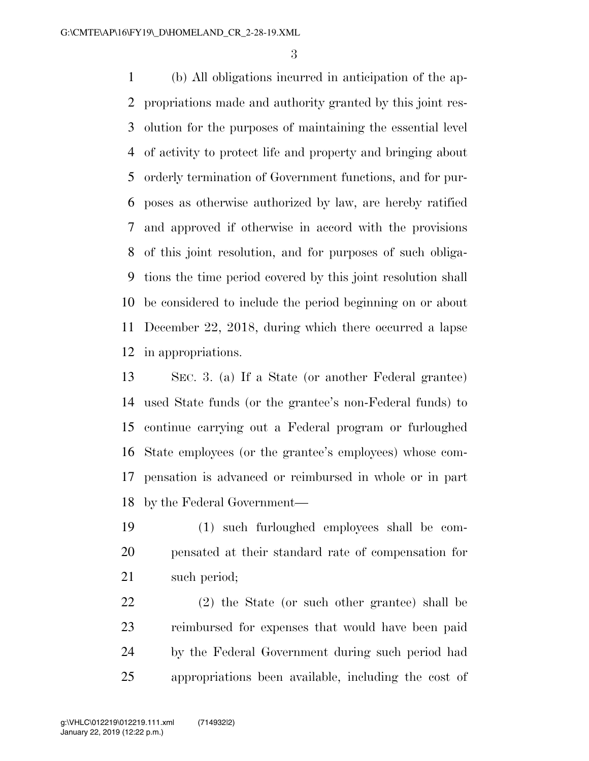(b) All obligations incurred in anticipation of the ap- propriations made and authority granted by this joint res- olution for the purposes of maintaining the essential level of activity to protect life and property and bringing about orderly termination of Government functions, and for pur- poses as otherwise authorized by law, are hereby ratified and approved if otherwise in accord with the provisions of this joint resolution, and for purposes of such obliga- tions the time period covered by this joint resolution shall be considered to include the period beginning on or about December 22, 2018, during which there occurred a lapse in appropriations.

 SEC. 3. (a) If a State (or another Federal grantee) used State funds (or the grantee's non-Federal funds) to continue carrying out a Federal program or furloughed State employees (or the grantee's employees) whose com- pensation is advanced or reimbursed in whole or in part by the Federal Government—

 (1) such furloughed employees shall be com- pensated at their standard rate of compensation for such period;

 (2) the State (or such other grantee) shall be reimbursed for expenses that would have been paid by the Federal Government during such period had appropriations been available, including the cost of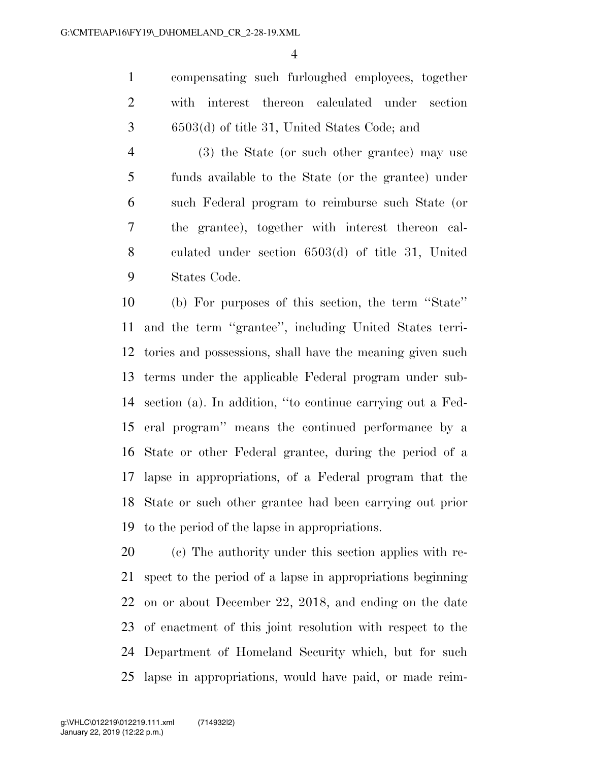compensating such furloughed employees, together with interest thereon calculated under section 6503(d) of title 31, United States Code; and

 (3) the State (or such other grantee) may use funds available to the State (or the grantee) under such Federal program to reimburse such State (or the grantee), together with interest thereon cal- culated under section 6503(d) of title 31, United States Code.

 (b) For purposes of this section, the term ''State'' and the term ''grantee'', including United States terri- tories and possessions, shall have the meaning given such terms under the applicable Federal program under sub- section (a). In addition, ''to continue carrying out a Fed- eral program'' means the continued performance by a State or other Federal grantee, during the period of a lapse in appropriations, of a Federal program that the State or such other grantee had been carrying out prior to the period of the lapse in appropriations.

 (c) The authority under this section applies with re- spect to the period of a lapse in appropriations beginning on or about December 22, 2018, and ending on the date of enactment of this joint resolution with respect to the Department of Homeland Security which, but for such lapse in appropriations, would have paid, or made reim